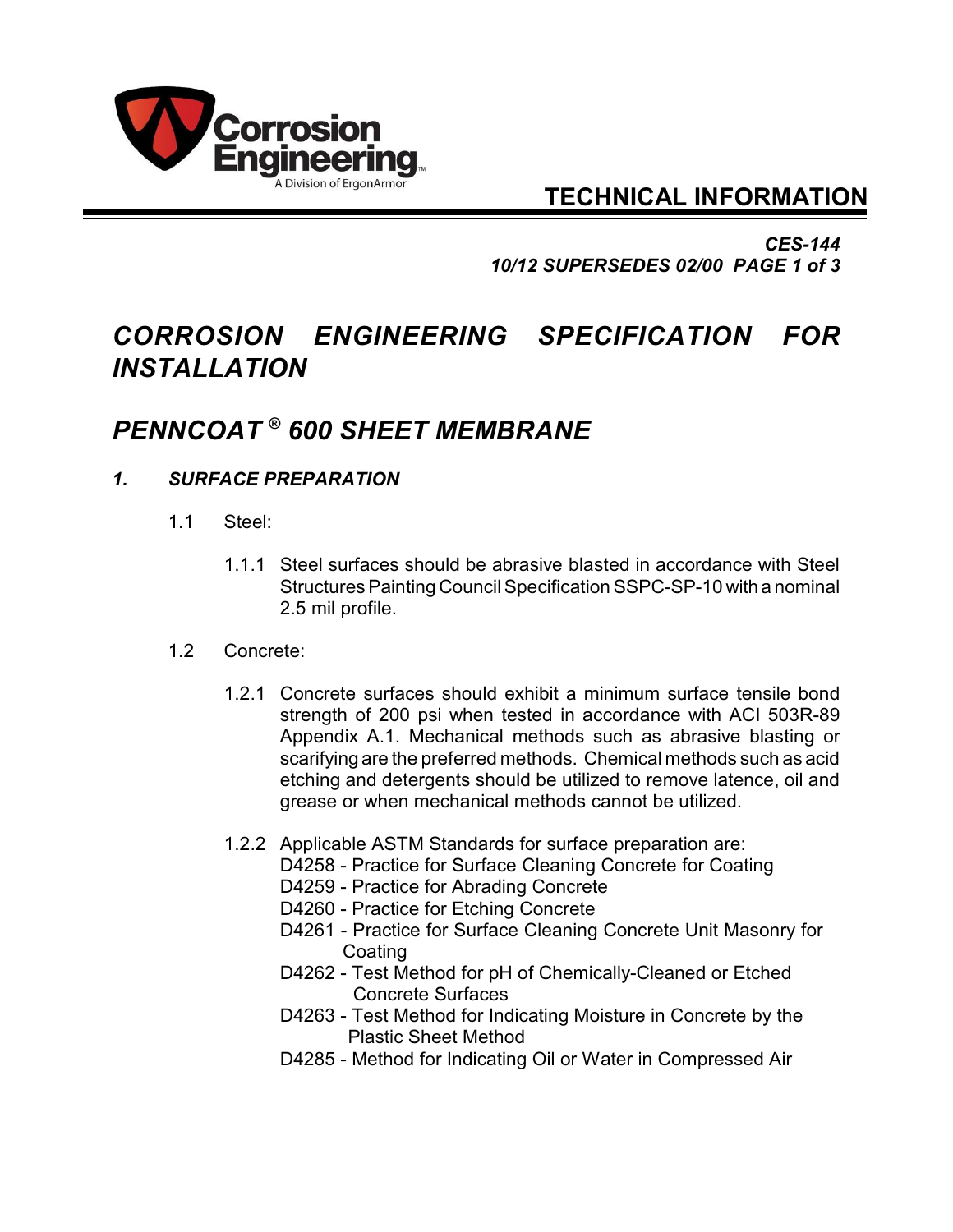

## **TECHNICAL INFORMATION**

*CES-144 10/12 SUPERSEDES 02/00 PAGE 1 of 3*

# *CORROSION ENGINEERING SPECIFICATION FOR INSTALLATION*

## *PENNCOAT 600 SHEET MEMBRANE ®*

## *1. SURFACE PREPARATION*

- 1.1 Steel:
	- 1.1.1 Steel surfaces should be abrasive blasted in accordance with Steel Structures Painting Council Specification SSPC-SP-10 with a nominal 2.5 mil profile.

#### 1.2 Concrete:

- 1.2.1 Concrete surfaces should exhibit a minimum surface tensile bond strength of 200 psi when tested in accordance with ACI 503R-89 Appendix A.1. Mechanical methods such as abrasive blasting or scarifying are the preferred methods. Chemical methods such as acid etching and detergents should be utilized to remove latence, oil and grease or when mechanical methods cannot be utilized.
- 1.2.2 Applicable ASTM Standards for surface preparation are:
	- D4258 Practice for Surface Cleaning Concrete for Coating
		- D4259 Practice for Abrading Concrete
		- D4260 Practice for Etching Concrete
		- D4261 Practice for Surface Cleaning Concrete Unit Masonry for Coating
		- D4262 Test Method for pH of Chemically-Cleaned or Etched Concrete Surfaces
		- D4263 Test Method for Indicating Moisture in Concrete by the Plastic Sheet Method
		- D4285 Method for Indicating Oil or Water in Compressed Air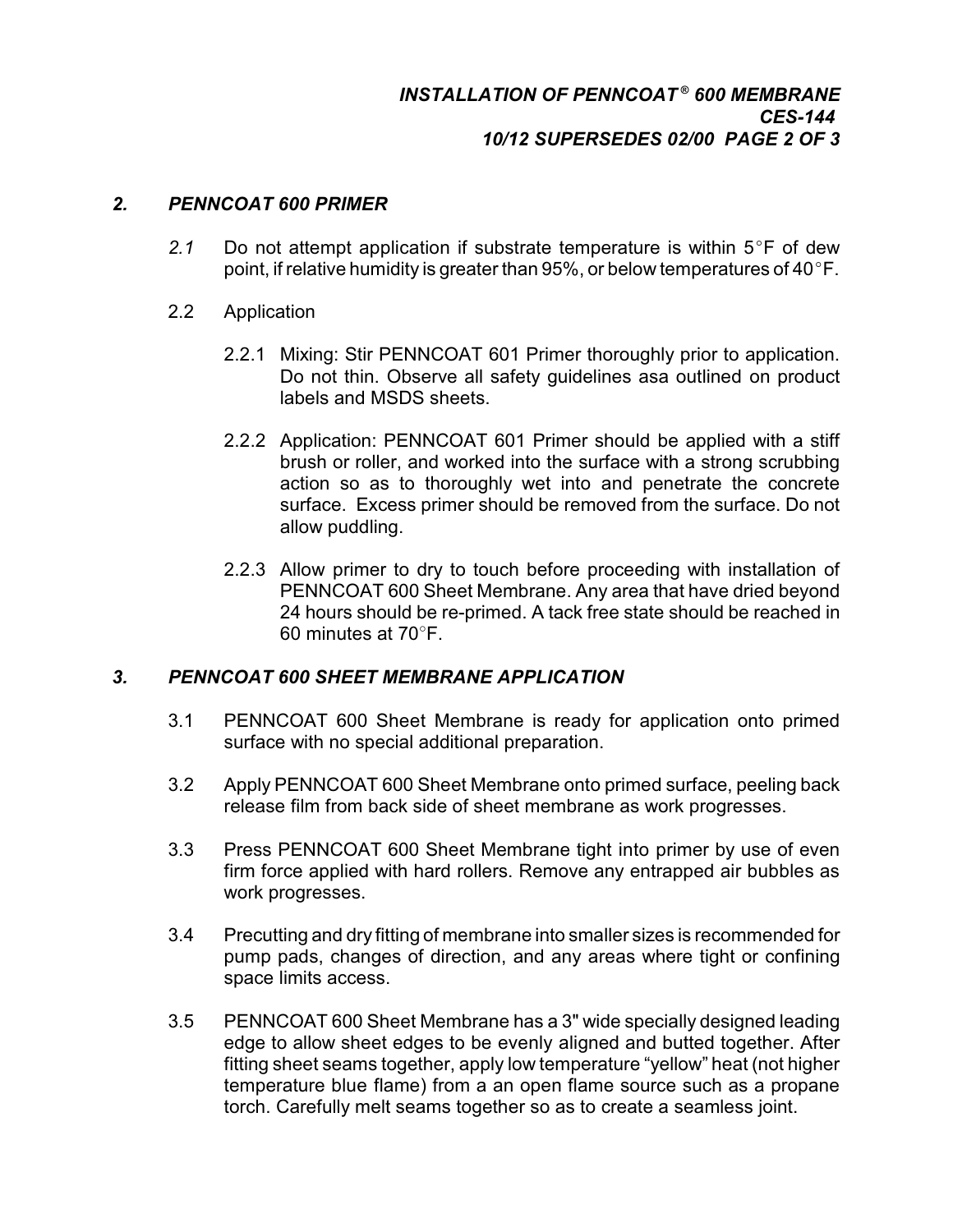### *2. PENNCOAT 600 PRIMER*

- 2.1 Do not attempt application if substrate temperature is within  $5^{\circ}F$  of dew point, if relative humidity is greater than 95%, or below temperatures of 40 $\degree$ F.
- 2.2 Application
	- 2.2.1 Mixing: Stir PENNCOAT 601 Primer thoroughly prior to application. Do not thin. Observe all safety guidelines asa outlined on product labels and MSDS sheets.
	- 2.2.2 Application: PENNCOAT 601 Primer should be applied with a stiff brush or roller, and worked into the surface with a strong scrubbing action so as to thoroughly wet into and penetrate the concrete surface. Excess primer should be removed from the surface. Do not allow puddling.
	- 2.2.3 Allow primer to dry to touch before proceeding with installation of PENNCOAT 600 Sheet Membrane. Any area that have dried beyond 24 hours should be re-primed. A tack free state should be reached in 60 minutes at  $70^\circ$ F.

#### *3. PENNCOAT 600 SHEET MEMBRANE APPLICATION*

- 3.1 PENNCOAT 600 Sheet Membrane is ready for application onto primed surface with no special additional preparation.
- 3.2 Apply PENNCOAT 600 Sheet Membrane onto primed surface, peeling back release film from back side of sheet membrane as work progresses.
- 3.3 Press PENNCOAT 600 Sheet Membrane tight into primer by use of even firm force applied with hard rollers. Remove any entrapped air bubbles as work progresses.
- 3.4 Precutting and dry fitting of membrane into smaller sizes is recommended for pump pads, changes of direction, and any areas where tight or confining space limits access.
- 3.5 PENNCOAT 600 Sheet Membrane has a 3" wide specially designed leading edge to allow sheet edges to be evenly aligned and butted together. After fitting sheet seams together, apply low temperature "yellow" heat (not higher temperature blue flame) from a an open flame source such as a propane torch. Carefully melt seams together so as to create a seamless joint.